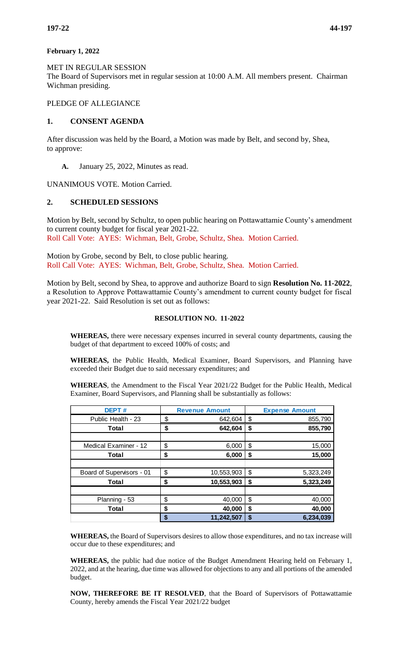### **February 1, 2022**

MET IN REGULAR SESSION The Board of Supervisors met in regular session at 10:00 A.M. All members present. Chairman Wichman presiding.

# PLEDGE OF ALLEGIANCE

# **1. CONSENT AGENDA**

After discussion was held by the Board, a Motion was made by Belt, and second by, Shea, to approve:

**A.** January 25, 2022, Minutes as read.

UNANIMOUS VOTE. Motion Carried.

# **2. SCHEDULED SESSIONS**

Motion by Belt, second by Schultz, to open public hearing on Pottawattamie County's amendment to current county budget for fiscal year 2021-22. Roll Call Vote: AYES: Wichman, Belt, Grobe, Schultz, Shea. Motion Carried.

Motion by Grobe, second by Belt, to close public hearing. Roll Call Vote: AYES: Wichman, Belt, Grobe, Schultz, Shea. Motion Carried.

Motion by Belt, second by Shea, to approve and authorize Board to sign **Resolution No. 11-2022**, a Resolution to Approve Pottawattamie County's amendment to current county budget for fiscal year 2021-22. Said Resolution is set out as follows:

#### **RESOLUTION NO. 11-2022**

**WHEREAS,** there were necessary expenses incurred in several county departments, causing the budget of that department to exceed 100% of costs; and

**WHEREAS,** the Public Health, Medical Examiner, Board Supervisors, and Planning have exceeded their Budget due to said necessary expenditures; and

**WHEREAS**, the Amendment to the Fiscal Year 2021/22 Budget for the Public Health, Medical Examiner, Board Supervisors, and Planning shall be substantially as follows:

| <b>DEPT#</b>              |    | <b>Revenue Amount</b> |    | <b>Expense Amount</b> |  |  |
|---------------------------|----|-----------------------|----|-----------------------|--|--|
| Public Health - 23        | \$ | 642,604               | \$ | 855,790               |  |  |
| Total                     | \$ | 642,604               | \$ | 855,790               |  |  |
|                           |    |                       |    |                       |  |  |
| Medical Examiner - 12     | \$ | 6,000                 | \$ | 15,000                |  |  |
| Total                     | \$ | 6,000                 | S  | 15,000                |  |  |
|                           |    |                       |    |                       |  |  |
| Board of Supervisors - 01 | \$ | 10,553,903            | \$ | 5,323,249             |  |  |
| Total                     | \$ | 10,553,903            | S  | 5,323,249             |  |  |
|                           |    |                       |    |                       |  |  |
| Planning - 53             | \$ | 40,000                | \$ | 40,000                |  |  |
| Total                     | \$ | 40,000                | S  | 40,000                |  |  |
|                           | S  | 11,242,507            | S  | 6,234,039             |  |  |

**WHEREAS,** the Board of Supervisors desires to allow those expenditures, and no tax increase will occur due to these expenditures; and

**WHEREAS,** the public had due notice of the Budget Amendment Hearing held on February 1, 2022, and at the hearing, due time was allowed for objections to any and all portions of the amended budget.

**NOW, THEREFORE BE IT RESOLVED**, that the Board of Supervisors of Pottawattamie County, hereby amends the Fiscal Year 2021/22 budget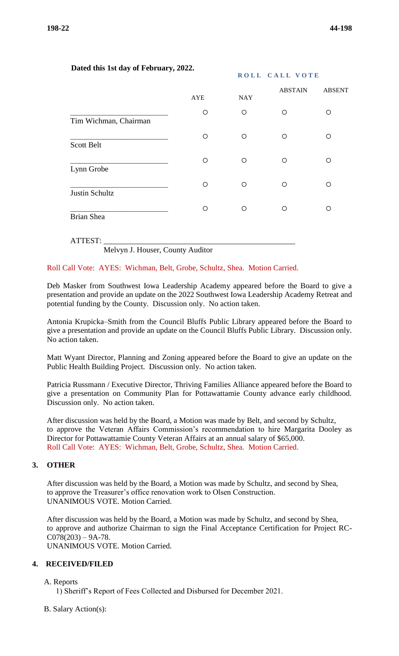**ROLL CALL VOTE** 

# **Dated this 1st day of February, 2022.**

|                       |          |                       | <b>ABSTAIN</b> | <b>ABSENT</b> |
|-----------------------|----------|-----------------------|----------------|---------------|
| Tim Wichman, Chairman | AYE<br>O | <b>NAY</b><br>$\circ$ | O              | O             |
| <b>Scott Belt</b>     | O        | O                     | ∩              | ∩             |
| Lynn Grobe            | O        | O                     | ∩              | ∩             |
| <b>Justin Schultz</b> | O        | $\circ$               | $\circ$        | ∩             |
| <b>Brian Shea</b>     | O        | $\circ$               | ∩              | ∩             |
|                       |          |                       |                |               |

#### ATTEST: \_\_\_\_\_\_\_\_\_\_\_\_\_\_\_\_\_\_\_\_\_\_\_\_\_\_\_\_\_\_\_\_\_\_\_\_\_\_\_\_\_\_\_\_\_\_\_\_\_

Melvyn J. Houser, County Auditor

### Roll Call Vote: AYES: Wichman, Belt, Grobe, Schultz, Shea. Motion Carried.

Deb Masker from Southwest Iowa Leadership Academy appeared before the Board to give a presentation and provide an update on the 2022 Southwest Iowa Leadership Academy Retreat and potential funding by the County. Discussion only. No action taken.

Antonia Krupicka–Smith from the Council Bluffs Public Library appeared before the Board to give a presentation and provide an update on the Council Bluffs Public Library. Discussion only. No action taken.

Matt Wyant Director, Planning and Zoning appeared before the Board to give an update on the Public Health Building Project. Discussion only. No action taken.

Patricia Russmann / Executive Director, Thriving Families Alliance appeared before the Board to give a presentation on Community Plan for Pottawattamie County advance early childhood. Discussion only. No action taken.

After discussion was held by the Board, a Motion was made by Belt, and second by Schultz, to approve the Veteran Affairs Commission's recommendation to hire Margarita Dooley as Director for Pottawattamie County Veteran Affairs at an annual salary of \$65,000. Roll Call Vote: AYES: Wichman, Belt, Grobe, Schultz, Shea. Motion Carried.

### **3. OTHER**

After discussion was held by the Board, a Motion was made by Schultz, and second by Shea, to approve the Treasurer's office renovation work to Olsen Construction. UNANIMOUS VOTE. Motion Carried.

After discussion was held by the Board, a Motion was made by Schultz, and second by Shea, to approve and authorize Chairman to sign the Final Acceptance Certification for Project RC- $C078(203) - 9A-78.$ UNANIMOUS VOTE. Motion Carried.

# **4. RECEIVED/FILED**

#### A. Reports

1) Sheriff's Report of Fees Collected and Disbursed for December 2021.

B. Salary Action(s):